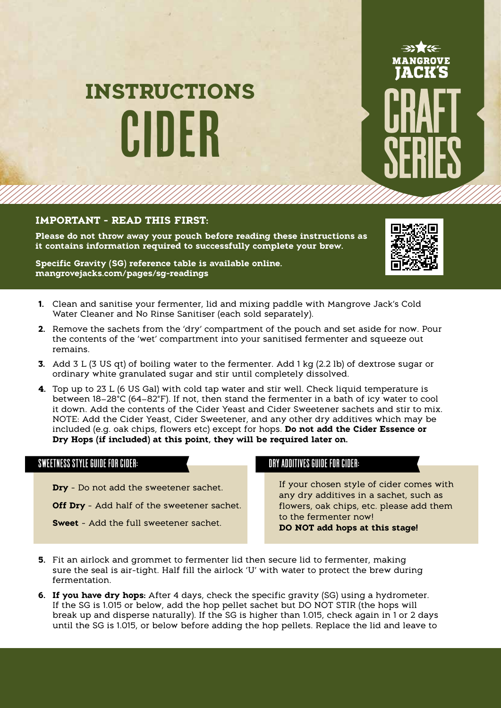# CIDER **INSTRUCTIONS**

## **IMPORTANT - READ THIS FIRST:**

**Please do not throw away your pouch before reading these instructions as it contains information required to successfully complete your brew.**

**Specific Gravity (SG) reference table is available online. mangrovejacks.com/pages/sg-readings** 



MANGROVE

- **1.** Clean and sanitise your fermenter, lid and mixing paddle with Mangrove Jack's Cold Water Cleaner and No Rinse Sanitiser (each sold separately).
- **2.** Remove the sachets from the 'dry' compartment of the pouch and set aside for now. Pour the contents of the 'wet' compartment into your sanitised fermenter and squeeze out remains.
- **3.** Add 3 L (3 US qt) of boiling water to the fermenter. Add 1 kg (2.2 lb) of dextrose sugar or ordinary white granulated sugar and stir until completely dissolved.
- **4.** Top up to 23 L (6 US Gal) with cold tap water and stir well. Check liquid temperature is between 18–28°C (64–82°F). If not, then stand the fermenter in a bath of icy water to cool it down. Add the contents of the Cider Yeast and Cider Sweetener sachets and stir to mix. NOTE: Add the Cider Yeast, Cider Sweetener, and any other dry additives which may be included (e.g. oak chips, flowers etc) except for hops. **Do not add the Cider Essence or Dry Hops (if included) at this point, they will be required later on.**

### SWEETNESS STYLE GUIDE FOR CIDER: DRY ADDITIVES GUIDE FOR CIDER:

**Dry** - Do not add the sweetener sachet.

**Off Dry** - Add half of the sweetener sachet.

**Sweet** - Add the full sweetener sachet.

If your chosen style of cider comes with any dry additives in a sachet, such as flowers, oak chips, etc. please add them to the fermenter now! **DO NOT add hops at this stage!**

- **5.** Fit an airlock and grommet to fermenter lid then secure lid to fermenter, making sure the seal is air-tight. Half fill the airlock 'U' with water to protect the brew during fermentation.
- until the SG is 1.015, or below before adding the hop pellets. Replace the lid and leave to **6. If you have dry hops:** After 4 days, check the specific gravity (SG) using a hydrometer. If the SG is 1.015 or below, add the hop pellet sachet but DO NOT STIR (the hops will break up and disperse naturally). If the SG is higher than 1.015, check again in 1 or 2 days